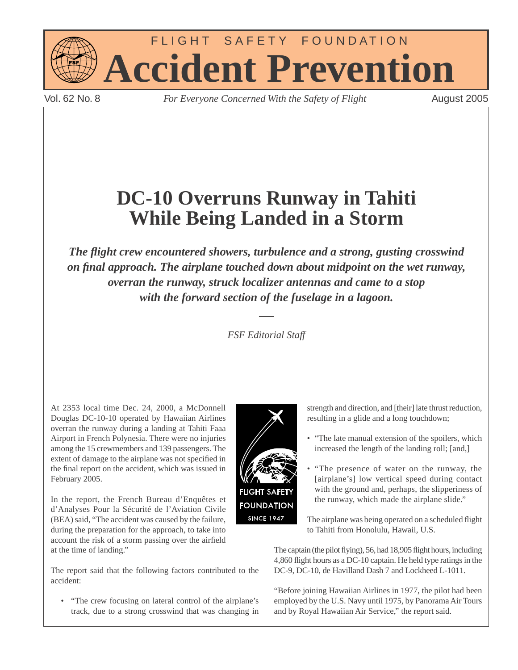

Vol. 62 No. 8 *For Everyone Concerned With the Safety of Flight* August 2005

# **DC-10 Overruns Runway in Tahiti While Being Landed in a Storm**

The flight crew encountered showers, turbulence and a strong, gusting crosswind *on final approach. The airplane touched down about midpoint on the wet runway, overran the runway, struck localizer antennas and came to a stop with the forward section of the fuselage in a lagoon.*

*FSF Editorial Staff*

At 2353 local time Dec. 24, 2000, a McDonnell Douglas DC-10-10 operated by Hawaiian Airlines overran the runway during a landing at Tahiti Faaa Airport in French Polynesia. There were no injuries among the 15 crewmembers and 139 passengers. The extent of damage to the airplane was not specified in the final report on the accident, which was issued in February 2005.

In the report, the French Bureau d'Enquêtes et d'Analyses Pour la Sécurité de l'Aviation Civile (BEA) said, "The accident was caused by the failure, during the preparation for the approach, to take into account the risk of a storm passing over the airfield at the time of landing."

The report said that the following factors contributed to the accident:

• "The crew focusing on lateral control of the airplane's track, due to a strong crosswind that was changing in

**FOUNDATION SINCE 1947** 

strength and direction, and [their] late thrust reduction, resulting in a glide and a long touchdown;

- "The late manual extension of the spoilers, which increased the length of the landing roll; [and,]
- "The presence of water on the runway, the [airplane's] low vertical speed during contact with the ground and, perhaps, the slipperiness of the runway, which made the airplane slide."

The airplane was being operated on a scheduled flight to Tahiti from Honolulu, Hawaii, U.S.

The captain (the pilot flying), 56, had 18,905 flight hours, including 4,860 flight hours as a DC-10 captain. He held type ratings in the DC-9, DC-10, de Havilland Dash 7 and Lockheed L-1011.

"Before joining Hawaiian Airlines in 1977, the pilot had been employed by the U.S. Navy until 1975, by Panorama Air Tours and by Royal Hawaiian Air Service," the report said.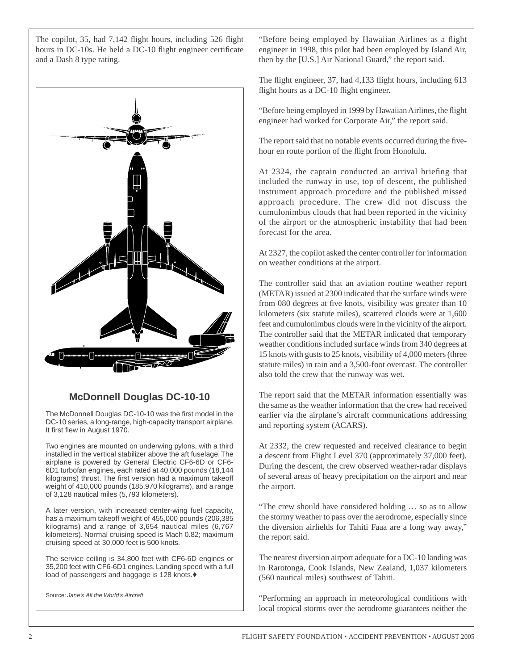The copilot, 35, had  $7,142$  flight hours, including 526 flight hours in DC-10s. He held a DC-10 flight engineer certificate and a Dash 8 type rating.



## **McDonnell Douglas DC-10-10**

The McDonnell Douglas DC-10-10 was the first model in the DC-10 series, a long-range, high-capacity transport airplane. It first flew in August 1970.

Two engines are mounted on underwing pylons, with a third installed in the vertical stabilizer above the aft fuselage. The airplane is powered by General Electric CF6-6D or CF6- 6D1 turbofan engines, each rated at 40,000 pounds (18,144 kilograms) thrust. The first version had a maximum takeoff weight of 410,000 pounds (185,970 kilograms), and a range of 3,128 nautical miles (5,793 kilometers).

A later version, with increased center-wing fuel capacity, has a maximum takeoff weight of 455,000 pounds (206,385 kilograms) and a range of 3,654 nautical miles (6,767 kilometers). Normal cruising speed is Mach 0.82; maximum cruising speed at 30,000 feet is 500 knots.

The service ceiling is 34,800 feet with CF6-6D engines or 35,200 feet with CF6-6D1 engines. Landing speed with a full load of passengers and baggage is 128 knots.♦

Source: *Jane's All the World's Aircraft*

"Before being employed by Hawaiian Airlines as a flight engineer in 1998, this pilot had been employed by Island Air, then by the [U.S.] Air National Guard," the report said.

The flight engineer, 37, had 4,133 flight hours, including 613 flight hours as a DC-10 flight engineer.

"Before being employed in 1999 by Hawaiian Airlines, the flight engineer had worked for Corporate Air," the report said.

The report said that no notable events occurred during the fivehour en route portion of the flight from Honolulu.

At 2324, the captain conducted an arrival briefing that included the runway in use, top of descent, the published instrument approach procedure and the published missed approach procedure. The crew did not discuss the cumulonimbus clouds that had been reported in the vicinity of the airport or the atmospheric instability that had been forecast for the area.

At 2327, the copilot asked the center controller for information on weather conditions at the airport.

The controller said that an aviation routine weather report (METAR) issued at 2300 indicated that the surface winds were from 080 degrees at five knots, visibility was greater than 10 kilometers (six statute miles), scattered clouds were at 1,600 feet and cumulonimbus clouds were in the vicinity of the airport. The controller said that the METAR indicated that temporary weather conditions included surface winds from 340 degrees at 15 knots with gusts to 25 knots, visibility of 4,000 meters (three statute miles) in rain and a 3,500-foot overcast. The controller also told the crew that the runway was wet.

The report said that the METAR information essentially was the same as the weather information that the crew had received earlier via the airplane's aircraft communications addressing and reporting system (ACARS).

At 2332, the crew requested and received clearance to begin a descent from Flight Level 370 (approximately 37,000 feet). During the descent, the crew observed weather-radar displays of several areas of heavy precipitation on the airport and near the airport.

"The crew should have considered holding … so as to allow the stormy weather to pass over the aerodrome, especially since the diversion airfields for Tahiti Faaa are a long way away," the report said.

The nearest diversion airport adequate for a DC-10 landing was in Rarotonga, Cook Islands, New Zealand, 1,037 kilometers (560 nautical miles) southwest of Tahiti.

"Performing an approach in meteorological conditions with local tropical storms over the aerodrome guarantees neither the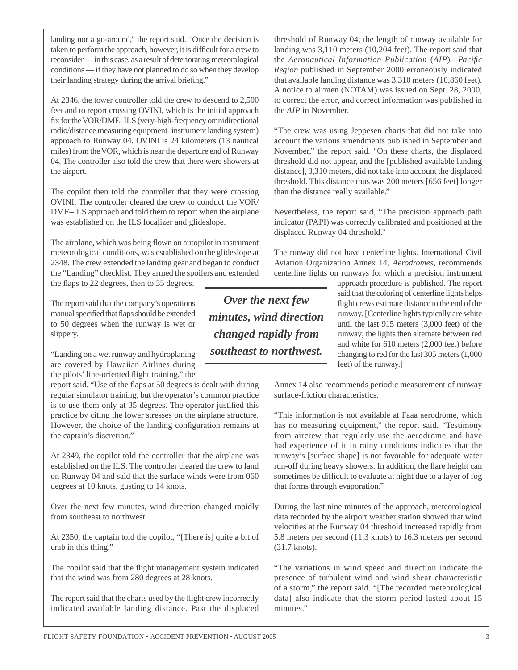landing nor a go-around," the report said. "Once the decision is taken to perform the approach, however, it is difficult for a crew to reconsider — in this case, as a result of deteriorating meteorological conditions — if they have not planned to do so when they develop their landing strategy during the arrival briefing."

At 2346, the tower controller told the crew to descend to 2,500 feet and to report crossing OVINI, which is the initial approach fix for the VOR/DME–ILS (very-high-frequency omnidirectional radio/distance measuring equipment–instrument landing system) approach to Runway 04. OVINI is 24 kilometers (13 nautical miles) from the VOR, which is near the departure end of Runway 04. The controller also told the crew that there were showers at the airport.

The copilot then told the controller that they were crossing OVINI. The controller cleared the crew to conduct the VOR/ DME–ILS approach and told them to report when the airplane was established on the ILS localizer and glideslope.

The airplane, which was being flown on autopilot in instrument meteorological conditions, was established on the glideslope at 2348. The crew extended the landing gear and began to conduct the "Landing" checklist. They armed the spoilers and extended the flaps to 22 degrees, then to 35 degrees.

The report said that the company's operations manual specified that flaps should be extended to 50 degrees when the runway is wet or slippery.

"Landing on a wet runway and hydroplaning are covered by Hawaiian Airlines during the pilots' line-oriented flight training," the

report said. "Use of the flaps at 50 degrees is dealt with during regular simulator training, but the operator's common practice is to use them only at 35 degrees. The operator justified this practice by citing the lower stresses on the airplane structure. However, the choice of the landing configuration remains at the captain's discretion."

At 2349, the copilot told the controller that the airplane was established on the ILS. The controller cleared the crew to land on Runway 04 and said that the surface winds were from 060 degrees at 10 knots, gusting to 14 knots.

Over the next few minutes, wind direction changed rapidly from southeast to northwest.

At 2350, the captain told the copilot, "[There is] quite a bit of crab in this thing."

The copilot said that the flight management system indicated that the wind was from 280 degrees at 28 knots.

The report said that the charts used by the flight crew incorrectly indicated available landing distance. Past the displaced threshold of Runway 04, the length of runway available for landing was 3,110 meters (10,204 feet). The report said that the *Aeronautical Information Publication* (*AIP*)-Pacific *Region* published in September 2000 erroneously indicated that available landing distance was 3,310 meters (10,860 feet). A notice to airmen (NOTAM) was issued on Sept. 28, 2000, to correct the error, and correct information was published in the *AIP* in November.

"The crew was using Jeppesen charts that did not take into account the various amendments published in September and November," the report said. "On these charts, the displaced threshold did not appear, and the [published available landing distance], 3,310 meters, did not take into account the displaced threshold. This distance thus was 200 meters [656 feet] longer than the distance really available."

Nevertheless, the report said, "The precision approach path indicator (PAPI) was correctly calibrated and positioned at the displaced Runway 04 threshold."

The runway did not have centerline lights. International Civil Aviation Organization Annex 14, *Aerodromes*, recommends centerline lights on runways for which a precision instrument

*Over the next few minutes, wind direction changed rapidly from southeast to northwest.*

approach procedure is published. The report said that the coloring of centerline lights helps flight crews estimate distance to the end of the runway. [Centerline lights typically are white until the last 915 meters (3,000 feet) of the runway; the lights then alternate between red and white for 610 meters (2,000 feet) before changing to red for the last 305 meters (1,000 feet) of the runway.]

Annex 14 also recommends periodic measurement of runway surface-friction characteristics.

"This information is not available at Faaa aerodrome, which has no measuring equipment," the report said. "Testimony from aircrew that regularly use the aerodrome and have had experience of it in rainy conditions indicates that the runway's [surface shape] is not favorable for adequate water run-off during heavy showers. In addition, the flare height can sometimes be difficult to evaluate at night due to a layer of fog that forms through evaporation."

During the last nine minutes of the approach, meteorological data recorded by the airport weather station showed that wind velocities at the Runway 04 threshold increased rapidly from 5.8 meters per second (11.3 knots) to 16.3 meters per second (31.7 knots).

"The variations in wind speed and direction indicate the presence of turbulent wind and wind shear characteristic of a storm," the report said. "[The recorded meteorological data] also indicate that the storm period lasted about 15 minutes."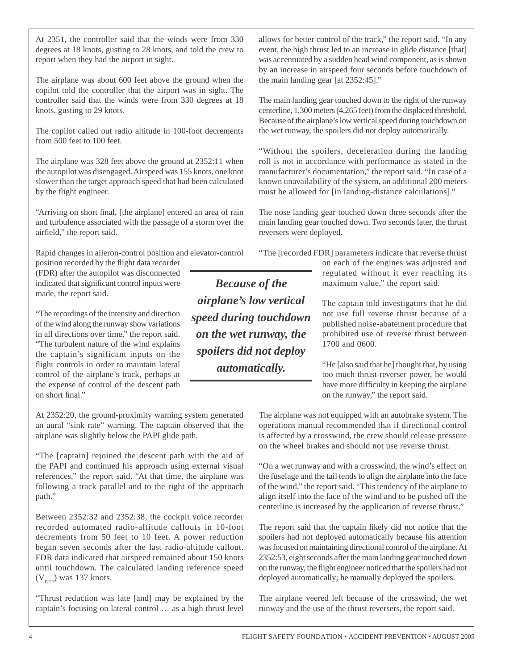At 2351, the controller said that the winds were from 330 degrees at 18 knots, gusting to 28 knots, and told the crew to report when they had the airport in sight.

The airplane was about 600 feet above the ground when the copilot told the controller that the airport was in sight. The controller said that the winds were from 330 degrees at 18 knots, gusting to 29 knots.

The copilot called out radio altitude in 100-foot decrements from 500 feet to 100 feet.

The airplane was 328 feet above the ground at 2352:11 when the autopilot was disengaged. Airspeed was 155 knots, one knot slower than the target approach speed that had been calculated by the flight engineer.

"Arriving on short final, [the airplane] entered an area of rain and turbulence associated with the passage of a storm over the airfield," the report said.

Rapid changes in aileron-control position and elevator-control

position recorded by the flight data recorder (FDR) after the autopilot was disconnected indicated that significant control inputs were made, the report said.

"The recordings of the intensity and direction of the wind along the runway show variations in all directions over time," the report said. "The turbulent nature of the wind explains the captain's significant inputs on the flight controls in order to maintain lateral control of the airplane's track, perhaps at the expense of control of the descent path on short final."

At 2352:20, the ground-proximity warning system generated an aural "sink rate" warning. The captain observed that the airplane was slightly below the PAPI glide path.

"The [captain] rejoined the descent path with the aid of the PAPI and continued his approach using external visual references," the report said. "At that time, the airplane was following a track parallel and to the right of the approach path."

Between 2352:32 and 2352:38, the cockpit voice recorder recorded automated radio-altitude callouts in 10-foot decrements from 50 feet to 10 feet. A power reduction began seven seconds after the last radio-altitude callout. FDR data indicated that airspeed remained about 150 knots until touchdown. The calculated landing reference speed  $(V_{\text{pre}})$  was 137 knots.

"Thrust reduction was late [and] may be explained by the captain's focusing on lateral control … as a high thrust level

allows for better control of the track," the report said. "In any event, the high thrust led to an increase in glide distance [that] was accentuated by a sudden head wind component, as is shown by an increase in airspeed four seconds before touchdown of the main landing gear [at 2352:45]."

The main landing gear touched down to the right of the runway centerline, 1,300 meters (4,265 feet) from the displaced threshold. Because of the airplane's low vertical speed during touchdown on the wet runway, the spoilers did not deploy automatically.

"Without the spoilers, deceleration during the landing roll is not in accordance with performance as stated in the manufacturer's documentation," the report said. "In case of a known unavailability of the system, an additional 200 meters must be allowed for [in landing-distance calculations]."

The nose landing gear touched down three seconds after the main landing gear touched down. Two seconds later, the thrust reversers were deployed.

"The [recorded FDR] parameters indicate that reverse thrust

on each of the engines was adjusted and regulated without it ever reaching its maximum value," the report said.

The captain told investigators that he did not use full reverse thrust because of a published noise-abatement procedure that prohibited use of reverse thrust between 1700 and 0600.

"He [also said that he] thought that, by using too much thrust-reverser power, he would have more difficulty in keeping the airplane on the runway," the report said.

The airplane was not equipped with an autobrake system. The operations manual recommended that if directional control is affected by a crosswind, the crew should release pressure on the wheel brakes and should not use reverse thrust.

"On a wet runway and with a crosswind, the wind's effect on the fuselage and the tail tends to align the airplane into the face of the wind," the report said. "This tendency of the airplane to align itself into the face of the wind and to be pushed off the centerline is increased by the application of reverse thrust."

The report said that the captain likely did not notice that the spoilers had not deployed automatically because his attention was focused on maintaining directional control of the airplane. At 2352:53, eight seconds after the main landing gear touched down on the runway, the flight engineer noticed that the spoilers had not deployed automatically; he manually deployed the spoilers.

The airplane veered left because of the crosswind, the wet runway and the use of the thrust reversers, the report said.

*Because of the airplane's low vertical speed during touchdown on the wet runway, the spoilers did not deploy automatically.*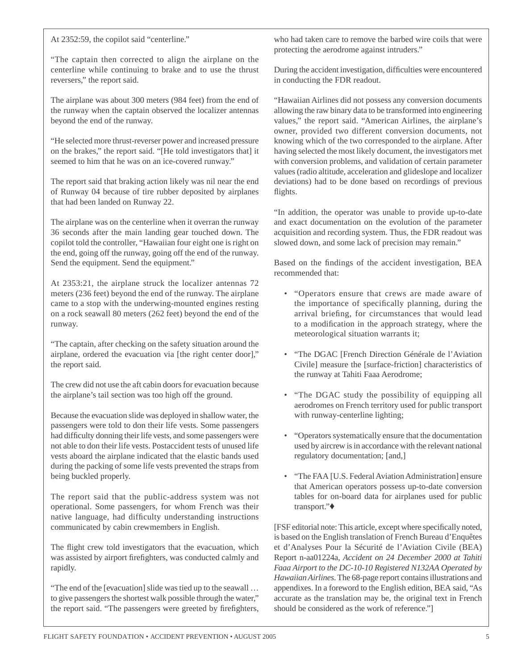At 2352:59, the copilot said "centerline."

"The captain then corrected to align the airplane on the centerline while continuing to brake and to use the thrust reversers," the report said.

The airplane was about 300 meters (984 feet) from the end of the runway when the captain observed the localizer antennas beyond the end of the runway.

"He selected more thrust-reverser power and increased pressure on the brakes," the report said. "[He told investigators that] it seemed to him that he was on an ice-covered runway."

The report said that braking action likely was nil near the end of Runway 04 because of tire rubber deposited by airplanes that had been landed on Runway 22.

The airplane was on the centerline when it overran the runway 36 seconds after the main landing gear touched down. The copilot told the controller, "Hawaiian four eight one is right on the end, going off the runway, going off the end of the runway. Send the equipment. Send the equipment."

At 2353:21, the airplane struck the localizer antennas 72 meters (236 feet) beyond the end of the runway. The airplane came to a stop with the underwing-mounted engines resting on a rock seawall 80 meters (262 feet) beyond the end of the runway.

"The captain, after checking on the safety situation around the airplane, ordered the evacuation via [the right center door]," the report said.

The crew did not use the aft cabin doors for evacuation because the airplane's tail section was too high off the ground.

Because the evacuation slide was deployed in shallow water, the passengers were told to don their life vests. Some passengers had difficulty donning their life vests, and some passengers were not able to don their life vests. Postaccident tests of unused life vests aboard the airplane indicated that the elastic bands used during the packing of some life vests prevented the straps from being buckled properly.

The report said that the public-address system was not operational. Some passengers, for whom French was their native language, had difficulty understanding instructions communicated by cabin crewmembers in English.

The flight crew told investigators that the evacuation, which was assisted by airport firefighters, was conducted calmly and rapidly.

"The end of the [evacuation] slide was tied up to the seawall … to give passengers the shortest walk possible through the water," the report said. "The passengers were greeted by firefighters, who had taken care to remove the barbed wire coils that were protecting the aerodrome against intruders."

During the accident investigation, difficulties were encountered in conducting the FDR readout.

"Hawaiian Airlines did not possess any conversion documents allowing the raw binary data to be transformed into engineering values," the report said. "American Airlines, the airplane's owner, provided two different conversion documents, not knowing which of the two corresponded to the airplane. After having selected the most likely document, the investigators met with conversion problems, and validation of certain parameter values (radio altitude, acceleration and glideslope and localizer deviations) had to be done based on recordings of previous flights.

"In addition, the operator was unable to provide up-to-date and exact documentation on the evolution of the parameter acquisition and recording system. Thus, the FDR readout was slowed down, and some lack of precision may remain."

Based on the findings of the accident investigation, BEA recommended that:

- "Operators ensure that crews are made aware of the importance of specifically planning, during the arrival briefing, for circumstances that would lead to a modification in the approach strategy, where the meteorological situation warrants it;
- "The DGAC [French Direction Générale de l'Aviation Civile] measure the [surface-friction] characteristics of the runway at Tahiti Faaa Aerodrome;
- "The DGAC study the possibility of equipping all aerodromes on French territory used for public transport with runway-centerline lighting;
- "Operators systematically ensure that the documentation used by aircrew is in accordance with the relevant national regulatory documentation; [and,]
- "The FAA [U.S. Federal Aviation Administration] ensure that American operators possess up-to-date conversion tables for on-board data for airplanes used for public transport."♦

[FSF editorial note: This article, except where specifically noted, is based on the English translation of French Bureau d'Enquêtes et d'Analyses Pour la Sécurité de l'Aviation Civile (BEA) Report n-aa01224a, *Accident on 24 December 2000 at Tahiti Faaa Airport to the DC-10-10 Registered N132AA Operated by Hawaiian Airlines*. The 68-page report contains illustrations and appendixes. In a foreword to the English edition, BEA said, "As accurate as the translation may be, the original text in French should be considered as the work of reference."]